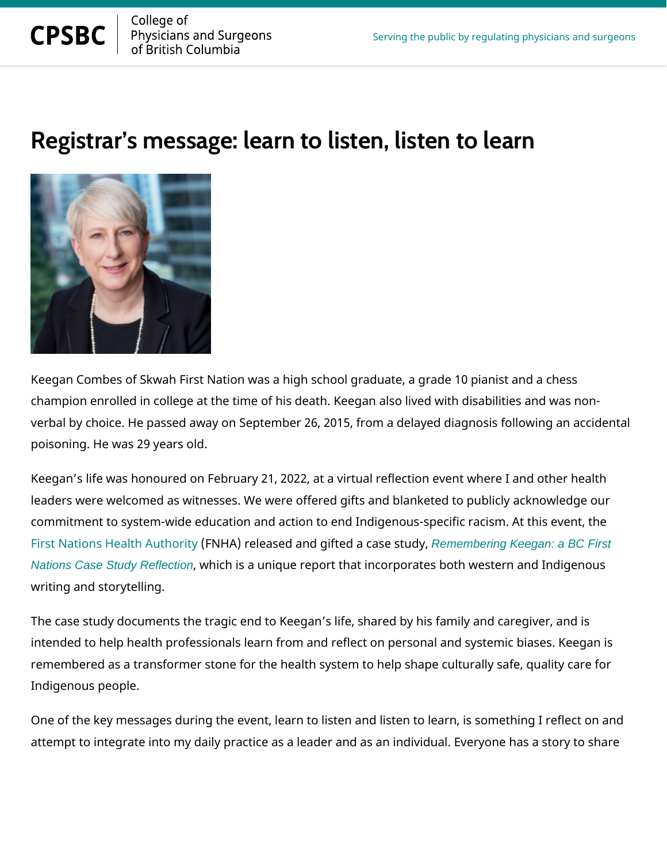

## Registrar s message: learn to listen,

Keegan Combes of Skwah First Nation was a high school graduate, a grade champion enrolled in college at the time of his death. Keegan also lived w verbal by choice. He passed away on September 26, 2015, from a delayed poisoning. He was 29 years old.

Keegan s life was honoured on February 21, 2022, at a virtual reflection e leaders were welcomed as witnesses. We were offered gifts and blanketed commitment to system-wide education and action to end Indigenous-specif [First Nations Health](https://www.fnha.ca/what-we-do/chief-medical-office/remembering-keegan) (ÆNNthHA) ireleased and giftedReanembering Keegany: a BC First [Nations Case Study Reflection](https://www.fnha.ca/Documents/FNHA-Remembering-Keegan.pdf), which is a unique report that incorporates both weste writing and storytelling.

The case study documents the tragic end to Keegan s life, shared by his f intended to help health professionals learn from and reflect on personal a remembered as a transformer stone for the health system to help shape cu Indigenous people.

One of the key messages during the event, learn to listen and listen to learn attempt to integrate into my daily practice as a leader and as an individua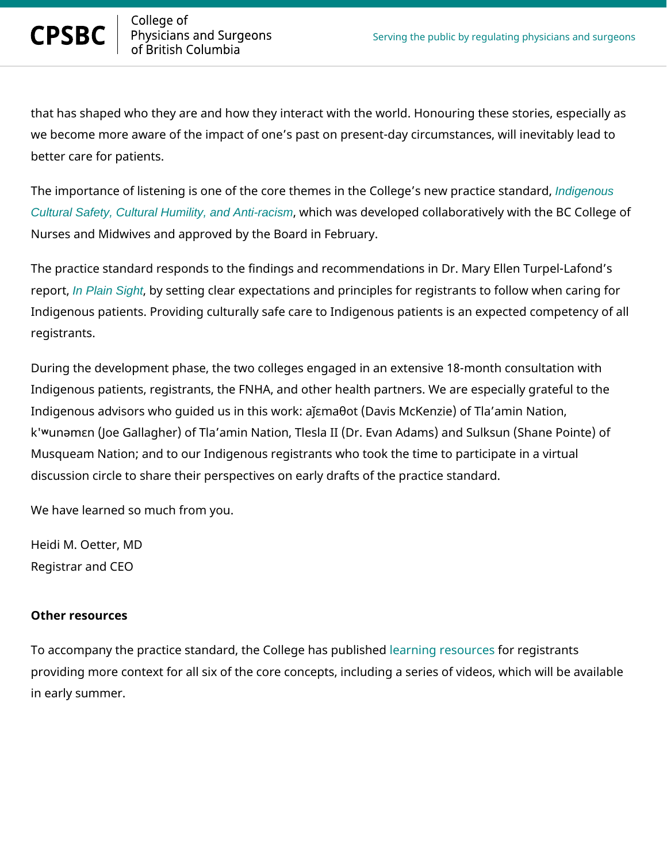that has shaped who they are and how they interact with the world. Honou we become more aware of the impact of one s past on present-day circums better care for patients.

The importance of listening is one of the core themes in the Codidencouse s new [Cultural Safety, Cultural Humility, and Anti-racism](https://www.cpsbc.ca/files/pdf/PSG-Indigenous-Cultural-Safety-Cultural-Humility-and-Anti-racism.pdf), which was developed collaboratively with Nurses and Midwives and approved by the Board in February.

The practice standard responds to the findings and recommendations in Di report Plain Sight, by setting clear expectations and principles for registrants Indigenous patients. Providing culturally safe care to Indigenous patients registrants.

During the development phase, the two colleges engaged in an extensive ' Indigenous patients, registrants, the FNHA, and other health partners. We Indigenous advisors who guided us in this work: að[ma, ot (Davis McKenzie k'·unYm[n (Joe Gallagher) of Tla amin Nation, Tlesla II (Dr. Evan Adams) Musqueam Nation; and to our Indigenous registrants who took the time to discussion circle to share their perspectives on early drafts of the practic

We have learned so much from you.

Heidi M. Oetter, MD Registrar and CEO

## Other resources

To accompany the practice standard, the Collection as published is trants providing more context for all six of the core concepts, including a series in early summer.